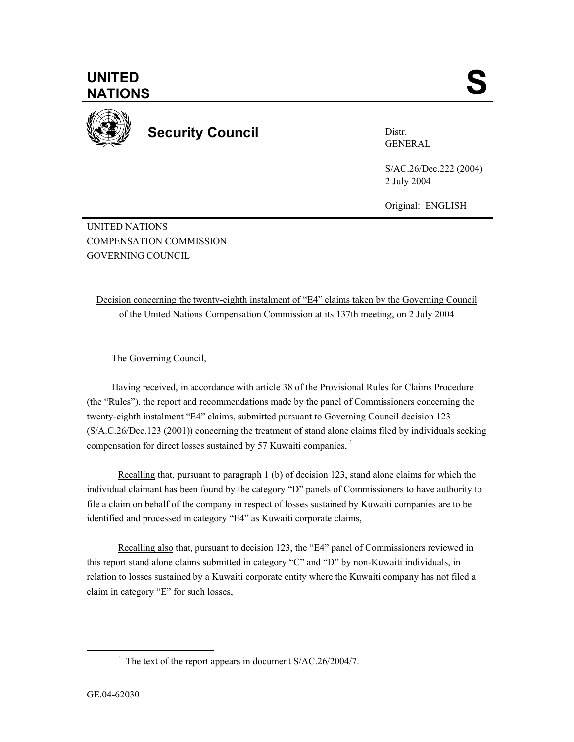

**Security Council** 

Distr. GENERAL

S/AC.26/Dec.222 (2004) 2 July 2004

Original: ENGLISH

UNITED NATIONS COMPENSATION COMMISSION GOVERNING COUNCIL

Decision concerning the twenty-eighth instalment of "E4" claims taken by the Governing Council of the United Nations Compensation Commission at its 137th meeting, on 2 July 2004

The Governing Council,

Having received, in accordance with article 38 of the Provisional Rules for Claims Procedure (the "Rules"), the report and recommendations made by the panel of Commissioners concerning the twenty-eighth instalment "E4" claims, submitted pursuant to Governing Council decision 123 (S/A.C.26/Dec.123 (2001)) concerning the treatment of stand alone claims filed by individuals seeking compensation for direct losses sustained by 57 Kuwaiti companies, <sup>1</sup>

Recalling that, pursuant to paragraph 1 (b) of decision 123, stand alone claims for which the individual claimant has been found by the category "D" panels of Commissioners to have authority to file a claim on behalf of the company in respect of losses sustained by Kuwaiti companies are to be identified and processed in category "E4" as Kuwaiti corporate claims,

Recalling also that, pursuant to decision 123, the "E4" panel of Commissioners reviewed in this report stand alone claims submitted in category "C" and "D" by non-Kuwaiti individuals, in relation to losses sustained by a Kuwaiti corporate entity where the Kuwaiti company has not filed a claim in category "E" for such losses,

 $\begin{array}{c|c}\n\hline\n\text{1}\n\end{array}$ <sup>1</sup> The text of the report appears in document  $S/AC.26/2004/7$ .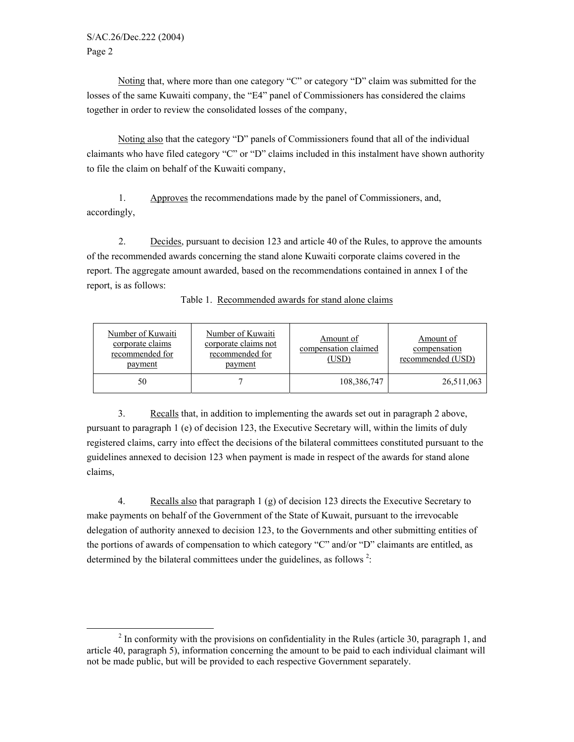Noting that, where more than one category "C" or category "D" claim was submitted for the losses of the same Kuwaiti company, the "E4" panel of Commissioners has considered the claims together in order to review the consolidated losses of the company,

Noting also that the category "D" panels of Commissioners found that all of the individual claimants who have filed category "C" or "D" claims included in this instalment have shown authority to file the claim on behalf of the Kuwaiti company,

1. Approves the recommendations made by the panel of Commissioners, and, accordingly,

2. Decides, pursuant to decision 123 and article 40 of the Rules, to approve the amounts of the recommended awards concerning the stand alone Kuwaiti corporate claims covered in the report. The aggregate amount awarded, based on the recommendations contained in annex I of the report, is as follows:

| Number of Kuwaiti<br>corporate claims<br>recommended for<br>payment | Number of Kuwaiti<br>corporate claims not<br>recommended for<br>payment | Amount of<br>compensation claimed<br>(USD) | Amount of<br>compensation<br>recommended (USD) |
|---------------------------------------------------------------------|-------------------------------------------------------------------------|--------------------------------------------|------------------------------------------------|
| 50                                                                  |                                                                         | 108,386,747                                | 26,511,063                                     |

Table 1. Recommended awards for stand alone claims

3. Recalls that, in addition to implementing the awards set out in paragraph 2 above, pursuant to paragraph 1 (e) of decision 123, the Executive Secretary will, within the limits of duly registered claims, carry into effect the decisions of the bilateral committees constituted pursuant to the guidelines annexed to decision 123 when payment is made in respect of the awards for stand alone claims,

4. Recalls also that paragraph 1 (g) of decision 123 directs the Executive Secretary to make payments on behalf of the Government of the State of Kuwait, pursuant to the irrevocable delegation of authority annexed to decision 123, to the Governments and other submitting entities of the portions of awards of compensation to which category "C" and/or "D" claimants are entitled, as determined by the bilateral committees under the guidelines, as follows<sup>2</sup>:

 $\frac{1}{2}$  $<sup>2</sup>$  In conformity with the provisions on confidentiality in the Rules (article 30, paragraph 1, and</sup> article 40, paragraph 5), information concerning the amount to be paid to each individual claimant will not be made public, but will be provided to each respective Government separately.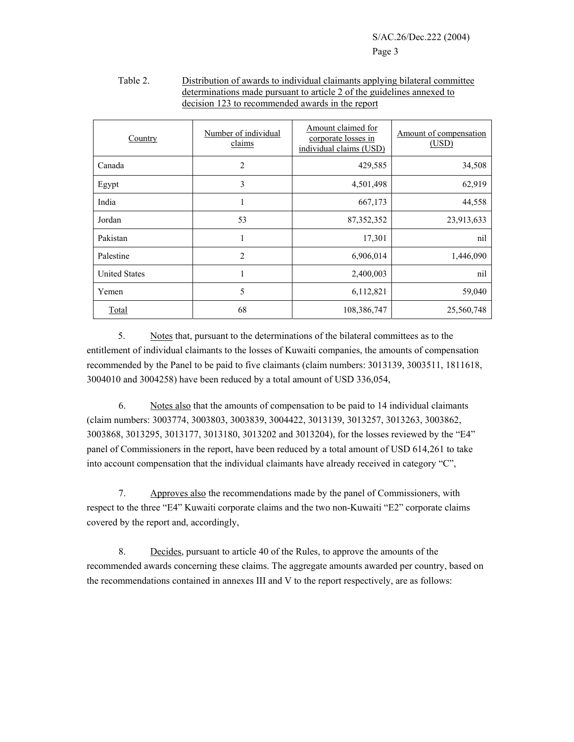| Country              | Number of individual<br>claims | Amount claimed for<br>corporate losses in<br>individual claims (USD) | Amount of compensation<br>(USD) |
|----------------------|--------------------------------|----------------------------------------------------------------------|---------------------------------|
| Canada               | 2                              | 429,585                                                              | 34,508                          |
| Egypt                | 3                              | 4,501,498                                                            | 62,919                          |
| India                | 1                              | 667,173                                                              | 44,558                          |
| Jordan               | 53                             | 87, 352, 352                                                         | 23,913,633                      |
| Pakistan             | 1                              | 17,301                                                               | nil                             |
| Palestine            | 2                              | 6,906,014                                                            | 1,446,090                       |
| <b>United States</b> | 1                              | 2,400,003                                                            | nil                             |
| Yemen                | 5                              | 6,112,821                                                            | 59,040                          |
| Total                | 68                             | 108,386,747                                                          | 25,560,748                      |

## Table 2. Distribution of awards to individual claimants applying bilateral committee determinations made pursuant to article 2 of the guidelines annexed to decision 123 to recommended awards in the report

5. Notes that, pursuant to the determinations of the bilateral committees as to the entitlement of individual claimants to the losses of Kuwaiti companies, the amounts of compensation recommended by the Panel to be paid to five claimants (claim numbers: 3013139, 3003511, 1811618, 3004010 and 3004258) have been reduced by a total amount of USD 336,054,

 6. Notes also that the amounts of compensation to be paid to 14 individual claimants (claim numbers: 3003774, 3003803, 3003839, 3004422, 3013139, 3013257, 3013263, 3003862, 3003868, 3013295, 3013177, 3013180, 3013202 and 3013204), for the losses reviewed by the "E4" panel of Commissioners in the report, have been reduced by a total amount of USD 614,261 to take into account compensation that the individual claimants have already received in category "C",

7. Approves also the recommendations made by the panel of Commissioners, with respect to the three "E4" Kuwaiti corporate claims and the two non-Kuwaiti "E2" corporate claims covered by the report and, accordingly,

8. Decides, pursuant to article 40 of the Rules, to approve the amounts of the recommended awards concerning these claims. The aggregate amounts awarded per country, based on the recommendations contained in annexes III and V to the report respectively, are as follows: